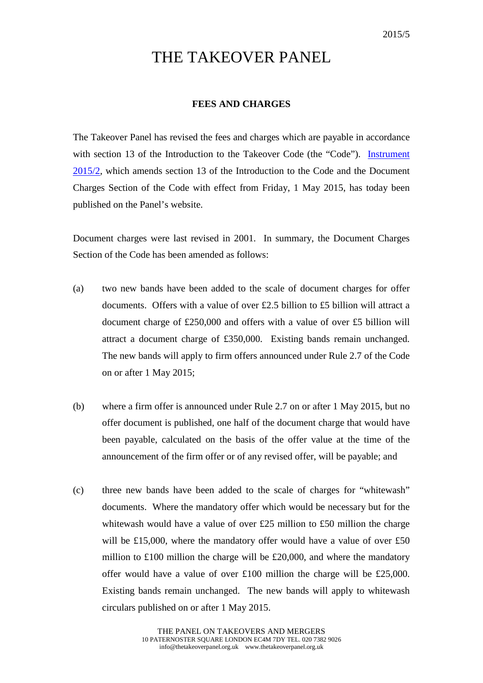## THE TAKEOVER PANEL

## **FEES AND CHARGES**

The Takeover Panel has revised the fees and charges which are payable in accordance with section 13 of the Introduction to the Takeover Code (the "Code"). Instrument [2015/2,](http://www.thetakeoverpanel.org.uk/wp-content/uploads/2008/11/Instrument-2015-2.pdf) which amends section 13 of the Introduction to the Code and the Document Charges Section of the Code with effect from Friday, 1 May 2015, has today been published on the Panel's website.

Document charges were last revised in 2001. In summary, the Document Charges Section of the Code has been amended as follows:

- (a) two new bands have been added to the scale of document charges for offer documents. Offers with a value of over £2.5 billion to £5 billion will attract a document charge of £250,000 and offers with a value of over £5 billion will attract a document charge of £350,000. Existing bands remain unchanged. The new bands will apply to firm offers announced under Rule 2.7 of the Code on or after 1 May 2015;
- (b) where a firm offer is announced under Rule 2.7 on or after 1 May 2015, but no offer document is published, one half of the document charge that would have been payable, calculated on the basis of the offer value at the time of the announcement of the firm offer or of any revised offer, will be payable; and
- (c) three new bands have been added to the scale of charges for "whitewash" documents. Where the mandatory offer which would be necessary but for the whitewash would have a value of over £25 million to £50 million the charge will be £15,000, where the mandatory offer would have a value of over £50 million to £100 million the charge will be £20,000, and where the mandatory offer would have a value of over £100 million the charge will be £25,000. Existing bands remain unchanged. The new bands will apply to whitewash circulars published on or after 1 May 2015.